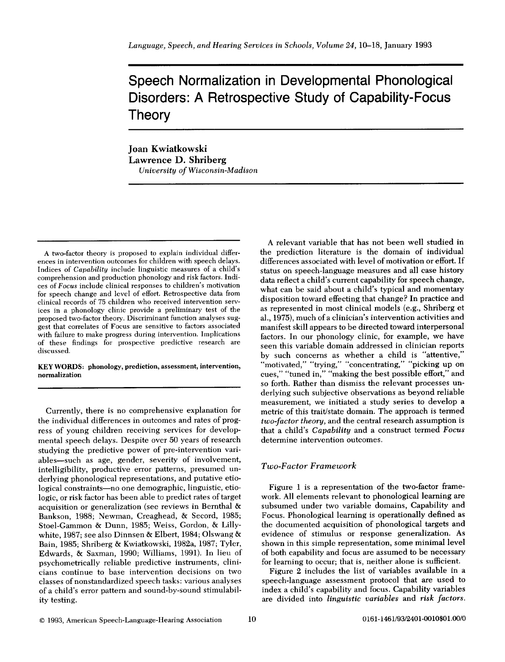# **Speech Normalization in Developmental Phonological Disorders: A Retrospective Study of Capability-Focus Theory**

Joan Kwiatkowski Lawrence D. Shriberg *University of Wisconsin-Madison*

A two-factor theory is proposed to explain individual differences in intervention outcomes for children with speech delays. Indices of *Capability* include linguistic measures of a child's comprehension and production phonology and risk factors. Indices of *Focus* include clinical responses to children's motivation for speech change and level of effort. Retrospective data from clinical records of 75 children who received intervention services in a phonology clinic provide a preliminary test of the proposed two-factor theory. Discriminant function analyses suggest that correlates of Focus are sensitive to factors associated with failure to make progress during intervention. Implications of these findings for prospective predictive research are discussed.

**KEY WORDS: phonology, prediction, assessment, intervention, normalization**

Currently, there is no comprehensive explanation for the individual differences in outcomes and rates of progress of young children receiving services for developmental speech delays. Despite over 50 years of research studying the predictive power of pre-intervention variables-such as age, gender, severity of involvement, intelligibility, productive error patterns, presumed underlying phonological representations, and putative etiological constraints-no one demographic, linguistic, etiologic, or risk factor has been able to predict rates of target acquisition or generalization (see reviews in Bernthal & Bankson, 1988; Newman, Creaghead, & Secord, 1985; Stoel-Gammon & Dunn, 1985; Weiss, Gordon, & Lillywhite, 1987; see also Dinnsen & Elbert, 1984; Olswang & Bain, 1985; Shriberg & Kwiatkowski, 1982a, 1987; Tyler, Edwards, & Saxman, 1990; Williams, 1991). In lieu of psychometrically reliable predictive instruments, clinicians continue to base intervention decisions on two classes of nonstandardized speech tasks: various analyses of a child's error pattern and sound-by-sound stimulability testing.

A relevant variable that has not been well studied in the prediction literature is the domain of individual differences associated with level of motivation or effort. If status on speech-language measures and all case history data reflect a child's current capability for speech change, what can be said about a child's typical and momentary disposition toward effecting that change? In practice and as represented in most clinical models (e.g., Shriberg et al., 1975), much of a clinician's intervention activities and manifest skill appears to be directed toward interpersonal factors. In our phonology clinic, for example, we have seen this variable domain addressed in clinician reports by such concerns as whether a child is "attentive," "motivated," "trying," "concentrating," "picking up on cues," "tuned in," "making the best possible effort," and so forth. Rather than dismiss the relevant processes underlying such subjective observations as beyond reliable measurement, we initiated a study series to develop a metric of this trait/state domain. The approach is termed *two-factor theory,* and the central research assumption is that a child's *Capability* and a construct termed *Focus* determine intervention outcomes.

## *Two-Factor Framework*

Figure 1 is a representation of the two-factor framework. All elements relevant to phonological learning are subsumed under two variable domains, Capability and Focus. Phonological learning is operationally defined as the documented acquisition of phonological targets and evidence of stimulus or response generalization. As shown in this simple representation, some minimal level of both capability and focus are assumed to be necessary for learning to occur; that is, neither alone is sufficient.

Figure 2 includes the list of variables available in a speech-language assessment protocol that are used to index a child's capability and focus. Capability variables are divided into *linguistic variables* and *risk factors.*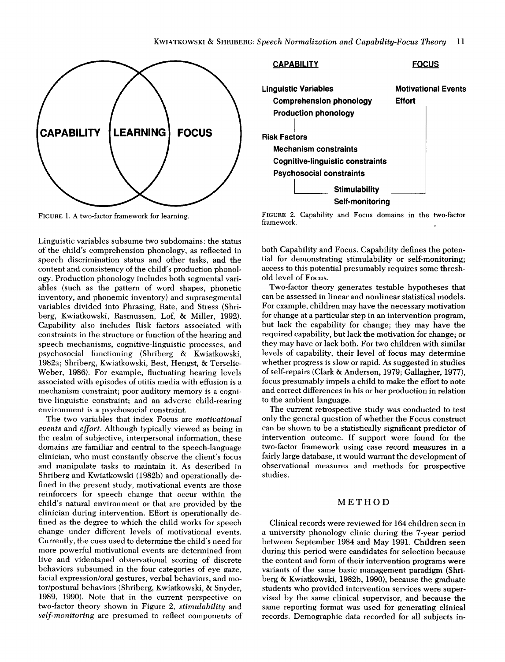

FIGURE 1. A two-factor framework for learning.

Linguistic variables subsume two subdomains: the status of the child's comprehension phonology, as reflected in speech discrimination status and other tasks, and the content and consistency of the child's production phonology. Production phonology includes both segmental variables (such as the pattern of word shapes, phonetic inventory, and phonemic inventory) and suprasegmental variables divided into Phrasing, Rate, and Stress (Shriberg, Kwiatkowski, Rasmussen, Lof, & Miller, 1992). Capability also includes Risk factors associated with constraints in the structure or function of the hearing and speech mechanisms, cognitive-linguistic processes, and psychosocial functioning (Shriberg & Kwiatkowski, 1982a; Shriberg, Kwiatkowski, Best, Hengst, & Terselic-Weber, 1986). For example, fluctuating hearing levels associated with episodes of otitis media with effusion is a mechanism constraint; poor auditory memory is a cognitive-linguistic constraint; and an adverse child-rearing environment is a psychosocial constraint.

The two variables that index Focus are *motivational events* and *effort.* Although typically viewed as being in the realm of subjective, interpersonal information, these domains are familiar and central to the speech-language clinician, who must constantly observe the client's focus and manipulate tasks to maintain it. As described in Shriberg and Kwiatkowski (1982b) and operationally defined in the present study, motivational events are those reinforcers for speech change that occur within the child's natural environment or that are provided by the clinician during intervention. Effort is operationally defined as the degree to which the child works for speech change under different levels of motivational events. Currently, the cues used to determine the child's need for more powerful motivational events are determined from live and videotaped observational scoring of discrete behaviors subsumed in the four categories of eye gaze, facial expression/oral gestures, verbal behaviors, and motor/postural behaviors (Shriberg, Kwiatkowski, & Snyder, 1989, 1990). Note that in the current perspective on two-factor theory shown in Figure 2, *stimulability* and *self-monitoring* are presumed to reflect components of



FIGURE 2. Capability and Focus domains in the two-factor framework.

both Capability and Focus. Capability defines the potential for demonstrating stimulability or self-monitoring; access to this potential presumably requires some threshold level of Focus.

Two-factor theory generates testable hypotheses that can be assessed in linear and nonlinear statistical models. For example, children may have the necessary motivation for change at a particular step in an intervention program, but lack the capability for change; they may have the required capability, but lack the motivation for change; or they may have or lack both. For two children with similar levels of capability, their level of focus may determine whether progress is slow or rapid. As suggested in studies of self-repairs (Clark & Andersen, 1979; Gallagher, 1977), focus presumably impels a child to make the effort to note and correct differences in his or her production in relation to the ambient language.

The current retrospective study was conducted to test only the general question of whether the Focus construct can be shown to be a statistically significant predictor of intervention outcome. If support were found for the two-factor framework using case record measures in a fairly large database, it would warrant the development of observational measures and methods for prospective studies.

## METHOD

Clinical records were reviewed for 164 children seen in a university phonology clinic during the 7-year period between September 1984 and May 1991. Children seen during this period were candidates for selection because the content and form of their intervention programs were variants of the same basic management paradigm (Shriberg & Kwiatkowski, 1982b, 1990), because the graduate students who provided intervention services were supervised by the same clinical supervisor, and because the same reporting format was used for generating clinical records. Demographic data recorded for all subjects in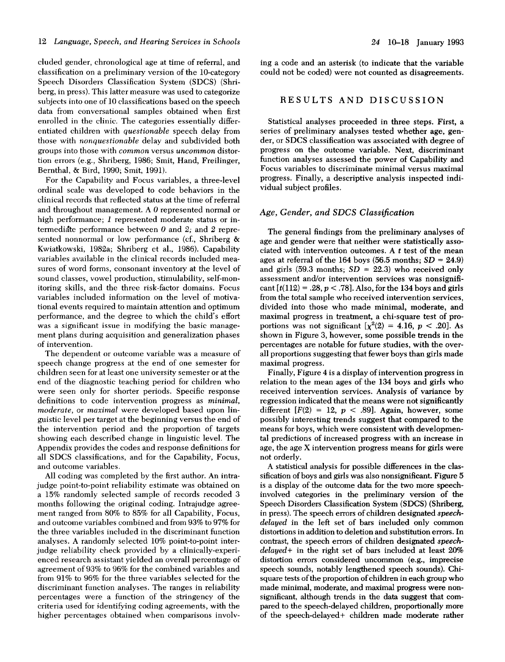eluded gender, chronological age at time of referral, and classification on a preliminary version of the 10-category Speech Disorders Classification System (SDCS) (Shriberg, in press). This latter measure was used to categorize subjects into one of 10 classifications based on the speech data from conversational samples obtained when first enrolled in the clinic. The categories essentially differentiated children with *questionable* speech delay from those with *nonquestionable* delay and subdivided both groups into those with *common* versus *uncommon* distortion errors (e.g., Shriberg, 1986; Smit, Hand, Freilinger, Bernthal, & Bird, 1990; Smit, 1991).

For the Capability and Focus variables, a three-level ordinal scale was developed to code behaviors in the clinical records that reflected status at the time of referral and throughout management. A *0* represented normal or high performance; *1* represented moderate status or intermediate performance between 0 and *2;* and *2* represented nonnormal or low performance (cf., Shriberg & Kwiatkowski, 1982a; Shriberg et al., 1986). Capability variables available in the clinical records included measures of word forms, consonant inventory at the level of sound classes, vowel production, stimulability, self-monitoring skills, and the three risk-factor domains. Focus variables included information on the level of motivational events required to maintain attention and optimum performance, and the degree to which the child's effort was a significant issue in modifying the basic management plans during acquisition and generalization phases of intervention.

The dependent or outcome variable was a measure of speech change progress at the end of one semester for children seen for at least one university semester or at the end of the diagnostic teaching period for children who were seen only for shorter periods. Specific response definitions to code intervention progress as *minimal, moderate,* or *maximal* were developed based upon linguistic level per target at the beginning versus the end of the intervention period and the proportion of targets showing each described change in linguistic level. The Appendix provides the codes and response definitions for all SDCS classifications, and for the Capability, Focus, and outcome variables.

All coding was completed by the first author. An intrajudge point-to-point reliability estimate was obtained on a 15% randomly selected sample of records recoded 3 months following the original coding. Intrajudge agreement ranged from 80% to 85% for all Capability, Focus, and outcome variables combined and from 93% to 97% for the three variables included in the discriminant function analyses. A randomly selected 10% point-to-point interjudge reliability check provided by a clinically-experienced research assistant yielded an overall percentage of agreement of 93% to 96% for the combined variables and from 91% to 96% for the three variables selected for the discriminant function analyses. The ranges in reliability percentages were a function of the stringency of the criteria used for identifying coding agreements, with the higher percentages obtained when comparisons involving a code and an asterisk (to indicate that the variable could not be coded) were not counted as disagreements.

## RESULTS AND DISCUSSION

Statistical analyses proceeded in three steps. First, a series of preliminary analyses tested whether age, gender, or SDCS classification was associated with degree of progress on the outcome variable. Next, discriminant function analyses assessed the power of Capability and Focus variables to discriminate minimal versus maximal progress. Finally, a descriptive analysis inspected individual subject profiles.

## *Age, Gender, and SDCS Classification*

The general findings from the preliminary analyses of age and gender were that neither were statistically associated with intervention outcomes. A  $t$  test of the mean ages at referral of the 164 boys  $(56.5 \text{ months}; SD = 24.9)$ and girls  $(59.3 \text{ months}; SD = 22.3)$  who received only assessment and/or intervention services was nonsignificant  $[t(112) = .28, p < .78]$ . Also, for the 134 boys and girls from the total sample who received intervention services, divided into those who made minimal, moderate, and maximal progress in treatment, a chi-square test of proportions was not significant  $[\chi^2(2) = 4.16, p < .20]$ . As shown in Figure 3, however, some possible trends in the percentages are notable for future studies, with the overall proportions suggesting that fewer boys than girls made maximal progress.

Finally, Figure 4 is a display of intervention progress in relation to the mean ages of the 134 boys and girls who received intervention services. Analysis of variance by regression indicated that the means were not significantly different  $[F(2) = 12, p < .89]$ . Again, however, some possibly interesting trends suggest that compared to the means for boys, which were consistent with developmental predictions of increased progress with an increase in age, the age X intervention progress means for girls were not orderly.

A statistical analysis for possible differences in the classification of boys and girls was also nonsignificant. Figure 5 is a display of the outcome data for the two more speechinvolved categories in the preliminary version of the Speech Disorders Classification System (SDCS) (Shriberg, in press). The speech errors of children designated *speechdelayed* in the left set of bars included only common distortions in addition to deletion and substitution errors. In contrast, the speech errors of children designated *speechdelayed+* in the right set of bars included at least 20% distortion errors considered uncommon (e.g., imprecise speech sounds, notably lengthened speech sounds). Chisquare tests of the proportion of children in each group who made minimal, moderate, and maximal progress were nonsignificant, although trends in the data suggest that compared to the speech-delayed children, proportionally more of the speech-delayed+ children made moderate rather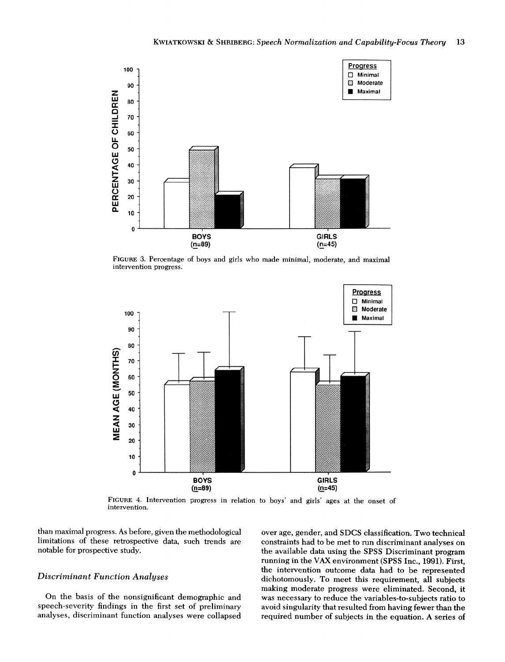

**FIGURE** 3. Percentage of boys and girls who made minimal, moderate, and maximal intervention progress.



**FIGURE** 4. Intervention progress in relation to boys' and girls' ages at the onset of intervention.

than maximal progress. As before, given the methodological limitations of these retrospective data, such trends are notable for prospective study.

#### *Discriminant Function Analyses*

On the basis of the nonsignificant demographic and speech-severity findings in the first set of preliminary analyses, discriminant function analyses were collapsed

over age, gender, and SDCS classification. Two technical constraints had to be met to run discriminant analyses on the available data using the SPSS Discriminant program running in the VAX environment (SPSS Inc., 1991). First, the intervention outcome data had to be represented dichotomously. To meet this requirement, all subjects making moderate progress were eliminated. Second, it was necessary to reduce the variables-to-subjects ratio to avoid singularity that resulted from having fewer than the required number of subjects in the equation. A series of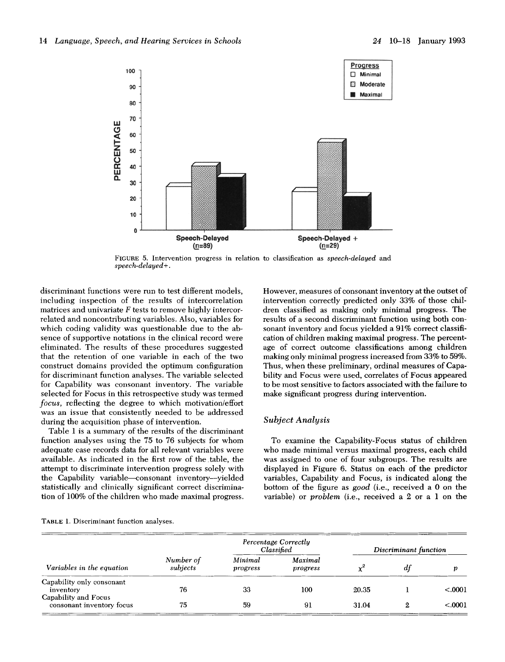

FIGURE 5. Intervention progress in relation to classification as *speech-delayed* and *speech-delayed+.*

discriminant functions were run to test different models, including inspection of the results of intercorrelation matrices and univariate *F* tests to remove highly intercorrelated and noncontributing variables. Also, variables for which coding validity was questionable due to the absence of supportive notations in the clinical record were eliminated. The results of these procedures suggested that the retention of one variable in each of the two construct domains provided the optimum configuration for discriminant function analyses. The variable selected for Capability was consonant inventory. The variable selected for Focus in this retrospective study was termed *focus,* reflecting the degree to which motivation/effort was an issue that consistently needed to be addressed during the acquisition phase of intervention.

Table 1 is a summary of the results of the discriminant function analyses using the 75 to 76 subjects for whom adequate case records data for all relevant variables were available. As indicated in the first row of the table, the attempt to discriminate intervention progress solely with the Capability variable-consonant inventory-yielded statistically and clinically significant correct discrimination of 100% of the children who made maximal progress.

However, measures of consonant inventory at the outset of intervention correctly predicted only 33% of those children classified as making only minimal progress. The results of a second discriminant function using both consonant inventory and focus yielded a 91% correct classification of children making maximal progress. The percentage of correct outcome classifications among children making only minimal progress increased from 33% to 59%. Thus, when these preliminary, ordinal measures of Capability and Focus were used, correlates of Focus appeared to be most sensitive to factors associated with the failure to make significant progress during intervention.

## *Subject Analysis*

To examine the Capability-Focus status of children who made minimal versus maximal progress, each child was assigned to one of four subgroups. The results are displayed in Figure 6. Status on each of the predictor variables, Capability and Focus, is indicated along the bottom of the figure as *good* (i.e., received a 0 on the variable) or *problem* (i.e., received a 2 or a 1 on the

| Variables in the equation                         | Number of<br>subjects | Percentage Correctly<br>Classified |                     | Discriminant function |    |         |
|---------------------------------------------------|-----------------------|------------------------------------|---------------------|-----------------------|----|---------|
|                                                   |                       | Minimal<br>progress                | Maximal<br>progress |                       | aı |         |
| Capability only consonant<br>inventory            | 76                    | 33                                 | 100                 | 20.35                 |    | < 0.001 |
| Capability and Focus<br>consonant inventory focus | 75                    | 59                                 | 91                  | 31.04                 |    | < .0001 |
|                                                   |                       |                                    |                     |                       |    |         |

TABLE 1. Discriminant function analyses.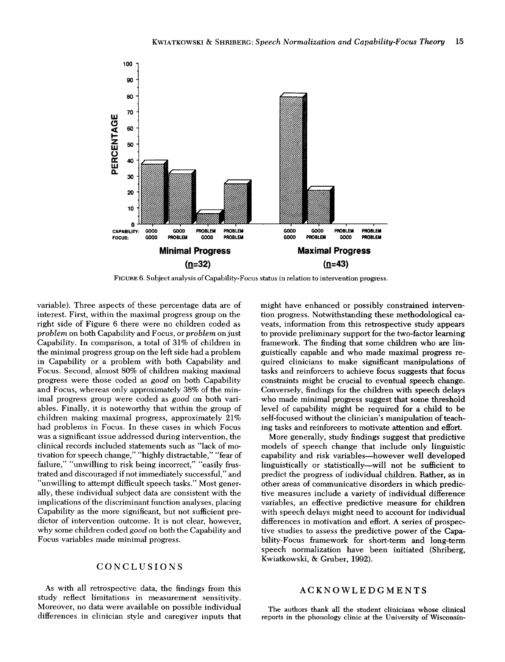

FIGURE 6. Subject analysis of Capability-Focus status in relation to intervention progress.

variable). Three aspects of these percentage data are of interest. First, within the maximal progress group on the right side of Figure 6 there were no children coded as *problem* on both Capability and Focus, or *problem* on just Capability. In comparison, a total of 31% of children in the minimal progress group on the left side had a problem in Capability or a problem with both Capability and Focus. Second, almost 80% of children making maximal progress were those coded as *good* on both Capability and Focus, whereas only approximately 38% of the minimal progress group were coded as *good* on both variables. Finally, it is noteworthy that within the group of children making maximal progress, approximately 21% had problems in Focus. In these cases in which Focus was a significant issue addressed during intervention, the clinical records included statements such as "lack of motivation for speech change," "highly distractable," "fear of failure," "unwilling to risk being incorrect," "easily frustrated and discouraged if not immediately successful," and "unwilling to attempt difficult speech tasks." Most generally, these individual subject data are consistent with the implications of the discriminant function analyses, placing Capability as the more significant, but not sufficient predictor of intervention outcome. It is not clear, however, why some children coded *good* on both the Capability and Focus variables made minimal progress.

## CONCLUSIONS

As with all retrospective data, the findings from this study reflect limitations in measurement sensitivity. Moreover, no data were available on possible individual differences in clinician style and caregiver inputs that might have enhanced or possibly constrained intervention progress. Notwithstanding these methodological caveats, information from this retrospective study appears to provide preliminary support for the two-factor learning framework. The finding that some children who are linguistically capable and who made maximal progress required clinicians to make significant manipulations of tasks and reinforcers to achieve focus suggests that focus constraints might be crucial to eventual speech change. Conversely, findings for the children with speech delays who made minimal progress suggest that some threshold level of capability might be required for a child to be self-focused without the clinician's manipulation of teaching tasks and reinforcers to motivate attention and effort.

More generally, study findings suggest that predictive models of speech change that include only linguistic capability and risk variables-however well developed linguistically or statistically-will not be sufficient to predict the progress of individual children. Rather, as in other areas of communicative disorders in which predictive measures include a variety of individual difference variables, an effective predictive measure for children with speech delays might need to account for individual differences in motivation and effort. A series of prospective studies to assess the predictive power of the Capability-Focus framework for short-term and long-term speech normalization have been initiated (Shriberg, Kwiatkowski, & Gruber, 1992).

### ACKNOWLEDGMENTS

The authors thank all the student clinicians whose clinical reports in the phonology clinic at the University of Wisconsin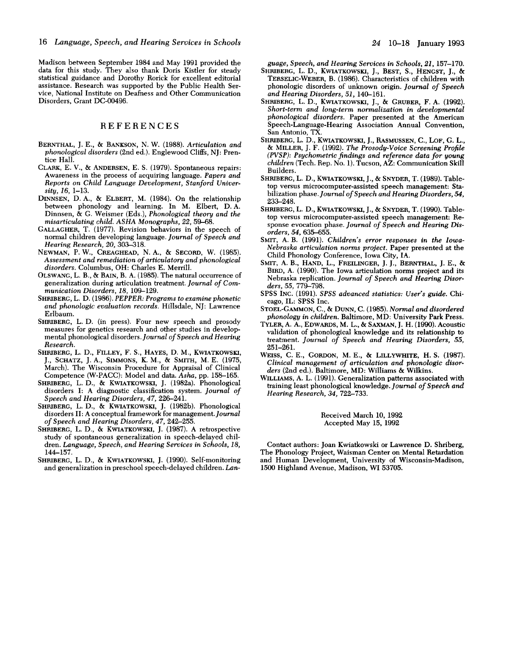Madison between September 1984 and May 1991 provided the data for this study. They also thank Doris Kistler for steady statistical guidance and Dorothy Rorick for excellent editorial assistance. Research was supported by the Public Health Service, National Institute on Deafness and Other Communication Disorders, Grant DC-00496.

## REFERENCES

- BERNTHAL, J. E., & BANKSON, N. W. (1988). *Articulation and phonological disorders* (2nd ed.). Englewood Cliffs, NJ: Prentice Hall.
- CLARK, E. V., & ANDERSEN, E. S. (1979). Spontaneous repairs: Awareness in the process of acquiring language. *Papers and Reports on Child Language Development, Stanford University, 16,* 1-13.
- DINNSEN, D. A., & ELBERT, M. (1984). On the relationship between phonology and learning. In M. Elbert, D. A. Dinnsen, & G. Weismer (Eds.), *Phonological theory and the misarticulating child. ASHA Monographs, 22,* 59-68.
- GALLAGHER, T. (1977). Revision behaviors in the speech of normal children developing language. *Journal of Speech and Hearing Research, 20,* 303-318.
- **NEWMAN,** P. W., **CREAGHEAD,** N. A., & **SECORD,** W. (1985). *Assessment and remediation of articulatory and phonological disorders.* Columbus, OH: Charles E. Merrill.
- OLSWANG, L. B., & BAIN, B. A. (1985). The natural occurrence of generalization during articulation treatment. *Journal of Communication Disorders, 18,* 109-129.
- **SHRIBERG,** L. D. (1986). *PEPPER: Programs to examine phonetic and phonologic evaluation records.* Hillsdale, NJ: Lawrence Erlbaum.<br>SHRIBERG, L. D. (in press). Four new speech and prosody
- measures for genetics research and other studies in developmental phonological disorders. *Journal of Speech and Hearing Research.*
- **SHRIBERG,** L. D., FILLEY, F. S., HAYES, D. M., **KWIATKOWSKI,** J., **SCHATZ,** J. A., **SIMMONS,** K. M., & **SMITH,** M. E. (1975, March). The Wisconsin Procedure for Appraisal of Clinical Competence (W-PACC): Model and data. *Asha,* pp. 158-165.
- SHRIBERG, L. D., & KWIATKOWSKI, J. (1982a). Phonological disorders I: A diagnostic classification system. *Journal of Speech and Hearing Disorders, 47,* 226-241.
- **SHRIBERG,** L. D., & KWIATKOWSKI, J. (1982b). Phonological disorders II: A conceptual framework for management. *Journal of Speech and Hearing Disorders, 47,* 242-255.
- **SHRIBERG,** L. D., & **KWIATKOWSKI,** J. (1987). A retrospective study of spontaneous generalization in speech-delayed children. *Language, Speech, and Hearing Services in Schools, 18,* 144-157.
- **SHRIBERG,** L. D., & KWIATKOWSKI, J. (1990). Self-monitoring and generalization in preschool speech-delayed children. *Lan-*

*guage, Speech, and Hearing Services in Schools, 21,* 157-170.

- SHRIBERG, L. D., KWIATKOWSKI, J., BEST, S., HENGST, J., & TERSELIC-WEBER, B. (1986). Characteristics of children with phonologic disorders of unknown origin. *Journal of Speech and Hearing Disorders, 51,* 140-161.
- SHRIBERG, L. D., KWIATKOWSKI, J., & GRUBER, F. A. (1992). *Short-term and long-term normalization in developmental phonological disorders.* Paper presented at the American Speech-Language-Hearing Association Annual Convention, San Antonio, TX.
- SHRIBERG, L. D., KWIATKOWSKI, J., RASMUSSEN, C., LOF, G. L., & MILLER, J. F. (1992). *The Prosody-Voice Screening Profile (PVSP): Psychometric findings and reference data for young children* (Tech. Rep. No. 1). Tucson, AZ: Communication Skill Builders.
- SHRIBERG, L. D., KWIATKOWSKI, J., & SNYDER, T. (1989). Tabletop versus microcomputer-assisted speech management: Stabilization *phase. Journal of Speech and Hearing Disorders, 54,* 233-248.
- SHRIBERG, L. D., KWIATKOWSKI, J., & SNYDER, T. (1990). Tabletop versus microcomputer-assisted speech management: Response evocation phase. *Journal of Speech and Hearing Disorders, 54,* 635-655.
- SMIT, A. B. (1991). *Children's error responses in the Iowa-Nebraska articulation norms project.* Paper presented at the Child Phonology Conference, Iowa City, IA.
- SMIT, A. B., HAND, L., FREILINGER, J. J., BERNTHAL, J. E., & BIRD, A. (1990). The Iowa articulation norms project and its Nebraska replication. *Journal of Speech and Hearing Disorders, 55,* 779-798.
- SPSS INC. (1991). *SPSS advanced statistics: User's guide.* Chicago, IL: SPSS Inc.
- STOEL-GAMMON, C., & DUNN, C. (1985). *Normal and disordered phonology in children.* Baltimore, MD: University Park Press.
- TYLER, A. A., EDWARDS, M. L., & SAXMAN, J. H. (1990). Acoustic validation of phonological knowledge and its relationship to treatment. *Journal of Speech and Hearing Disorders, 55,* 251-261.
- WEISS, C. E., GORDON, M. E., & LILLYWHITE, H. S. (1987). *Clinical management of articulation and phonologic disorders* (2nd ed.). Baltimore, MD: Williams & Wilkins.
- WILLIAMS, A. L. (1991). Generalization patterns associated with training least phonological knowledge. *Journal of Speech and Hearing Research, 34,* 722-733.

#### Received March 10, 1992 Accepted May 15, 1992

Contact authors: Joan Kwiatkowski or Lawrence D. Shriberg, The Phonology Project, Waisman Center on Mental Retardation and Human Development, University of Wisconsin-Madison, 1500 Highland Avenue, Madison, WI 53705.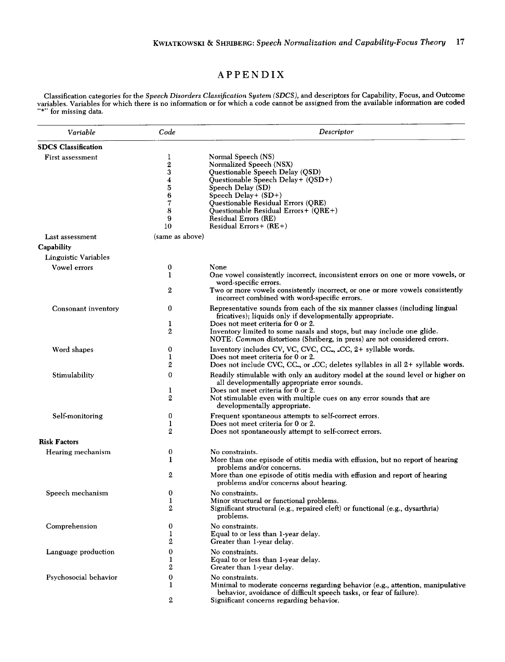# APPENDIX

Classification categories for the *Speech Disorders Classification System (SDCS),* and descriptors for Capability, Focus, and Outcome variables. Variables for which there is no information or for which a code cannot be assigned from the available information are coded "\*" for missing data.

| Variable                    | Code                                      | Descriptor                                                                                                                                                                                                   |  |
|-----------------------------|-------------------------------------------|--------------------------------------------------------------------------------------------------------------------------------------------------------------------------------------------------------------|--|
| <b>SDCS Classification</b>  |                                           |                                                                                                                                                                                                              |  |
| First assessment            | 1<br>$\mathbf 2$<br>3<br>4<br>5<br>6<br>7 | Normal Speech (NS)<br>Normalized Speech (NSX)<br>Questionable Speech Delay (QSD)<br>Questionable Speech Delay+ (QSD+)<br>Speech Delay (SD)<br>Speech Delay+ $(SD+)$<br>Questionable Residual Errors (QRE)    |  |
|                             | 8<br>9<br>10                              | Questionable Residual Errors+ (QRE+)<br>Residual Errors (RE)<br>Residual Errors + $(RE+)$                                                                                                                    |  |
| Last assessment             | (same as above)                           |                                                                                                                                                                                                              |  |
| Capability                  |                                           |                                                                                                                                                                                                              |  |
| <b>Linguistic Variables</b> |                                           |                                                                                                                                                                                                              |  |
| Vowel errors                | 0<br>1                                    | None<br>One vowel consistently incorrect, inconsistent errors on one or more vowels, or<br>word-specific errors.                                                                                             |  |
|                             | 2                                         | Two or more vowels consistently incorrect, or one or more vowels consistently<br>incorrect combined with word-specific errors.                                                                               |  |
| Consonant inventory         | 0<br>1                                    | Representative sounds from each of the six manner classes (including lingual<br>fricatives); liquids only if developmentally appropriate.<br>Does not meet criteria for 0 or 2.                              |  |
|                             | 2                                         | Inventory limited to some nasals and stops, but may include one glide.<br>NOTE: Common distortions (Shriberg, in press) are not considered errors.                                                           |  |
| Word shapes                 | 0<br>1<br>2                               | Inventory includes CV, VC, CVC, CC <sub>n</sub> , CC <sub>c</sub> , 2+ syllable words.<br>Does not meet criteria for 0 or 2.<br>Does not include CVC, CC, or CC; deletes syllables in all 2+ syllable words. |  |
| Stimulability               | $\bf{0}$<br>1                             | Readily stimulable with only an auditory model at the sound level or higher on<br>all developmentally appropriate error sounds.<br>Does not meet criteria for 0 or 2.                                        |  |
|                             | $\mathbf{2}$                              | Not stimulable even with multiple cues on any error sounds that are<br>developmentally appropriate.                                                                                                          |  |
| Self-monitoring             | 0<br>1<br>$\mathbf{2}$                    | Frequent spontaneous attempts to self-correct errors.<br>Does not meet criteria for 0 or 2.<br>Does not spontaneously attempt to self-correct errors.                                                        |  |
| <b>Risk Factors</b>         |                                           |                                                                                                                                                                                                              |  |
|                             |                                           |                                                                                                                                                                                                              |  |
| Hearing mechanism           | $\bf{0}$<br>1                             | No constraints.<br>More than one episode of otitis media with effusion, but no report of hearing<br>problems and/or concerns.                                                                                |  |
|                             | $\mathbf{2}$                              | More than one episode of otitis media with effusion and report of hearing<br>problems and/or concerns about hearing.                                                                                         |  |
| Speech mechanism            | 0<br>$\bf{l}$<br>2                        | No constraints.<br>Minor structural or functional problems.<br>Significant structural (e.g., repaired cleft) or functional (e.g., dysarthria)<br>problems.                                                   |  |
| Comprehension               | 0<br>1<br>2                               | No constraints.<br>Equal to or less than 1-year delay.<br>Greater than 1-year delay.                                                                                                                         |  |
| Language production         | 0<br>1<br>2                               | No constraints.<br>Equal to or less than 1-year delay.<br>Greater than 1-year delay.                                                                                                                         |  |
| Psychosocial behavior       | 0<br>1                                    | No constraints.<br>Minimal to moderate concerns regarding behavior (e.g., attention, manipulative<br>behavior, avoidance of difficult speech tasks, or fear of failure).                                     |  |
|                             | 2                                         | Significant concerns regarding behavior.                                                                                                                                                                     |  |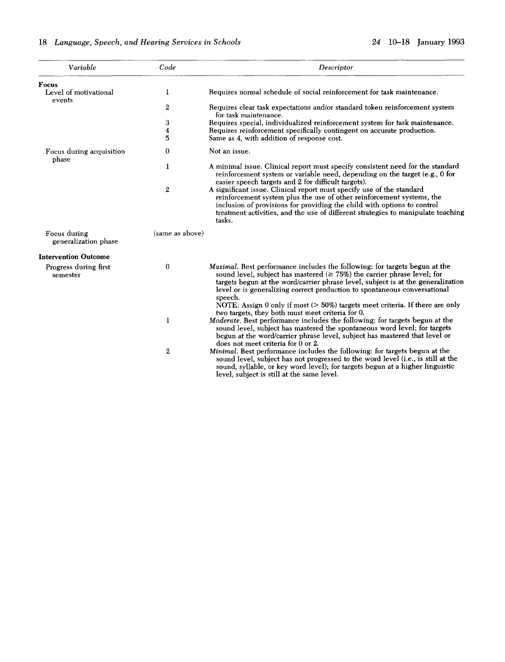| Variable                             | Code            | Descriptor                                                                                                                                                                                                                                                                                                                                                                                                                        |
|--------------------------------------|-----------------|-----------------------------------------------------------------------------------------------------------------------------------------------------------------------------------------------------------------------------------------------------------------------------------------------------------------------------------------------------------------------------------------------------------------------------------|
| <b>Focus</b>                         |                 |                                                                                                                                                                                                                                                                                                                                                                                                                                   |
| Level of motivational<br>events      | 1               | Requires normal schedule of social reinforcement for task maintenance.                                                                                                                                                                                                                                                                                                                                                            |
|                                      | $\mathbf{2}$    | Requires clear task expectations and/or standard token reinforcement system<br>for task maintenance.                                                                                                                                                                                                                                                                                                                              |
|                                      | 3               | Requires special, individualized reinforcement system for task maintenance.                                                                                                                                                                                                                                                                                                                                                       |
|                                      | 4               | Requires reinforcement specifically contingent on accurate production.                                                                                                                                                                                                                                                                                                                                                            |
|                                      | 5               | Same as 4, with addition of response cost.                                                                                                                                                                                                                                                                                                                                                                                        |
| Focus during acquisition<br>phase    | $\bf{0}$        | Not an issue.                                                                                                                                                                                                                                                                                                                                                                                                                     |
|                                      | 1               | A minimal issue. Clinical report must specify consistent need for the standard<br>reinforcement system or variable need, depending on the target (e.g., 0 for<br>easier speech targets and 2 for difficult targets).                                                                                                                                                                                                              |
|                                      | $\mathbf{2}$    | A significant issue. Clinical report must specify use of the standard<br>reinforcement system plus the use of other reinforcement systems, the<br>inclusion of provisions for providing the child with options to control<br>treatment activities, and the use of different strategies to manipulate teaching<br>tasks.                                                                                                           |
| Focus during<br>generalization phase | (same as above) |                                                                                                                                                                                                                                                                                                                                                                                                                                   |
| <b>Intervention Outcome</b>          |                 |                                                                                                                                                                                                                                                                                                                                                                                                                                   |
| Progress during first<br>semester    | $\theta$        | <i>Maximal.</i> Best performance includes the following: for targets begun at the<br>sound level, subject has mastered $(\geq 75\%)$ the carrier phrase level; for<br>targets begun at the word/carrier phrase level, subject is at the generalization<br>level or is generalizing correct production to spontaneous conversational<br>speech.<br>NOTE: Assign 0 only if most $($ > 50%) targets meet criteria. If there are only |
|                                      | $\mathbf{1}$    | two targets, they both must meet criteria for 0.<br>Moderate. Best performance includes the following: for targets begun at the<br>sound level, subject has mastered the spontaneous word level; for targets<br>begun at the word/carrier phrase level, subject has mastered that level or<br>does not meet criteria for 0 or 2.                                                                                                  |
|                                      | 2               | Minimal. Best performance includes the following: for targets begun at the<br>sound level, subject has not progressed to the word level (i.e., is still at the<br>sound, syllable, or key word level); for targets begun at a higher linguistic<br>level, subject is still at the same level.                                                                                                                                     |